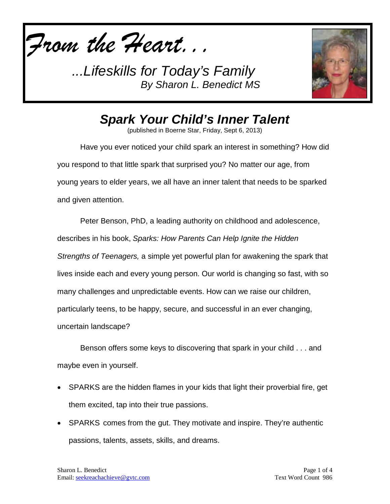



*Spark Your Child's Inner Talent*

(published in Boerne Star, Friday, Sept 6, 2013)

Have you ever noticed your child spark an interest in something? How did you respond to that little spark that surprised you? No matter our age, from young years to elder years, we all have an inner talent that needs to be sparked and given attention.

Peter Benson, PhD, a leading authority on childhood and adolescence, describes in his book, *Sparks: How Parents Can Help Ignite the Hidden Strengths of Teenagers,* a simple yet powerful plan for awakening the spark that lives inside each and every young person. Our world is changing so fast, with so many challenges and unpredictable events. How can we raise our children, particularly teens, to be happy, secure, and successful in an ever changing, uncertain landscape?

Benson offers some keys to discovering that spark in your child . . . and maybe even in yourself.

- SPARKS are the hidden flames in your kids that light their proverbial fire, get them excited, tap into their true passions.
- SPARKS comes from the gut. They motivate and inspire. They're authentic passions, talents, assets, skills, and dreams.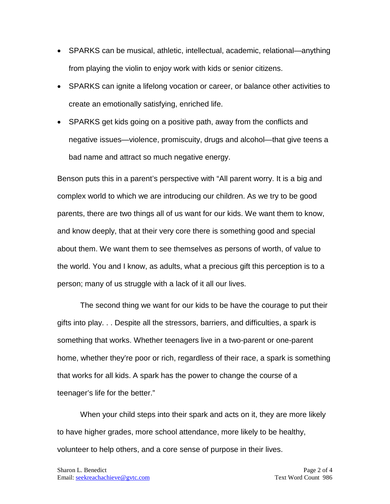- SPARKS can be musical, athletic, intellectual, academic, relational—anything from playing the violin to enjoy work with kids or senior citizens.
- SPARKS can ignite a lifelong vocation or career, or balance other activities to create an emotionally satisfying, enriched life.
- SPARKS get kids going on a positive path, away from the conflicts and negative issues—violence, promiscuity, drugs and alcohol—that give teens a bad name and attract so much negative energy.

Benson puts this in a parent's perspective with "All parent worry. It is a big and complex world to which we are introducing our children. As we try to be good parents, there are two things all of us want for our kids. We want them to know, and know deeply, that at their very core there is something good and special about them. We want them to see themselves as persons of worth, of value to the world. You and I know, as adults, what a precious gift this perception is to a person; many of us struggle with a lack of it all our lives.

The second thing we want for our kids to be have the courage to put their gifts into play. . . Despite all the stressors, barriers, and difficulties, a spark is something that works. Whether teenagers live in a two-parent or one-parent home, whether they're poor or rich, regardless of their race, a spark is something that works for all kids. A spark has the power to change the course of a teenager's life for the better."

When your child steps into their spark and acts on it, they are more likely to have higher grades, more school attendance, more likely to be healthy, volunteer to help others, and a core sense of purpose in their lives.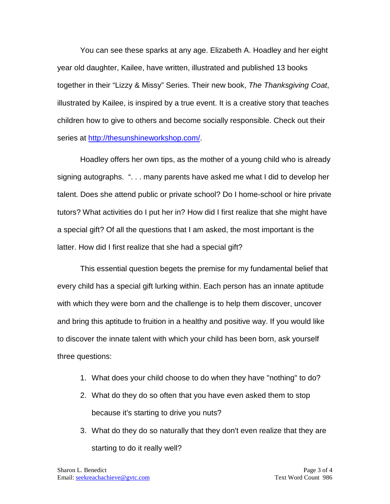You can see these sparks at any age. Elizabeth A. Hoadley and her eight year old daughter, Kailee, have written, illustrated and published 13 books together in their "Lizzy & Missy" Series. Their new book, *The Thanksgiving Coat*, illustrated by Kailee, is inspired by a true event. It is a creative story that teaches children how to give to others and become socially responsible. Check out their series at [http://thesunshineworkshop.com/.](http://thesunshineworkshop.com/)

Hoadley offers her own tips, as the mother of a young child who is already signing autographs. ". . . many parents have asked me what I did to develop her talent. Does she attend public or private school? Do I home-school or hire private tutors? What activities do I put her in? How did I first realize that she might have a special gift? Of all the questions that I am asked, the most important is the latter. How did I first realize that she had a special gift?

This essential question begets the premise for my fundamental belief that every child has a special gift lurking within. Each person has an innate aptitude with which they were born and the challenge is to help them discover, uncover and bring this aptitude to fruition in a healthy and positive way. If you would like to discover the innate talent with which your child has been born, ask yourself three questions:

- 1. What does your child choose to do when they have "nothing" to do?
- 2. What do they do so often that you have even asked them to stop because it's starting to drive you nuts?
- 3. What do they do so naturally that they don't even realize that they are starting to do it really well?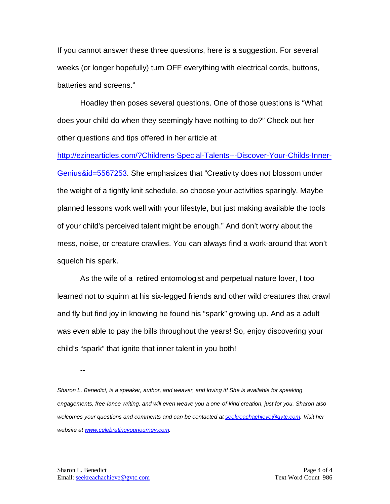If you cannot answer these three questions, here is a suggestion. For several weeks (or longer hopefully) turn OFF everything with electrical cords, buttons, batteries and screens."

Hoadley then poses several questions. One of those questions is "What does your child do when they seemingly have nothing to do?" Check out her other questions and tips offered in her article at

[http://ezinearticles.com/?Childrens-Special-Talents---Discover-Your-Childs-Inner-](http://ezinearticles.com/?Childrens-Special-Talents---Discover-Your-Childs-Inner-Genius&id=5567253)[Genius&id=5567253.](http://ezinearticles.com/?Childrens-Special-Talents---Discover-Your-Childs-Inner-Genius&id=5567253) She emphasizes that "Creativity does not blossom under the weight of a tightly knit schedule, so choose your activities sparingly. Maybe planned lessons work well with your lifestyle, but just making available the tools of your child's perceived talent might be enough." And don't worry about the mess, noise, or creature crawlies. You can always find a work-around that won't squelch his spark.

As the wife of a retired entomologist and perpetual nature lover, I too learned not to squirm at his six-legged friends and other wild creatures that crawl and fly but find joy in knowing he found his "spark" growing up. And as a adult was even able to pay the bills throughout the years! So, enjoy discovering your child's "spark" that ignite that inner talent in you both!

--

*Sharon L. Benedict, is a speaker, author, and weaver, and loving it! She is available for speaking engagements, free-lance writing, and will even weave you a one-of-kind creation, just for you. Sharon also welcomes your questions and comments and can be contacted a[t seekreachachieve@gvtc.com.](mailto:seekreachachieve@gvtc.com) Visit her website at [www.celebratingyourjourney.com.](http://www.celebratingyourjourney.com/)*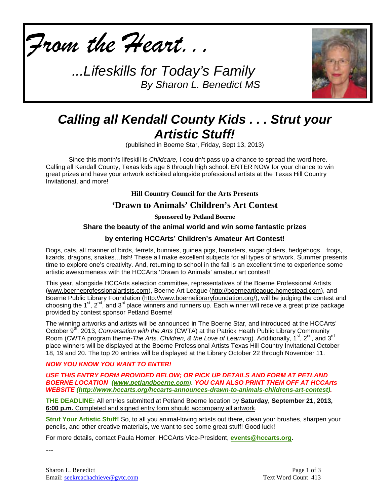



# *Calling all Kendall County Kids . . . Strut your Artistic Stuff!*

(published in Boerne Star, Friday, Sept 13, 2013)

Since this month's lifeskill is *Childcare,* I couldn't pass up a chance to spread the word here. Calling all Kendall County, Texas kids age 6 through high school. ENTER NOW for your chance to win great prizes and have your artwork exhibited alongside professional artists at the Texas Hill Country Invitational, and more!

**Hill Country Council for the Arts Presents**

## **'Drawn to Animals' Children's Art Contest**

**Sponsored by Petland Boerne**

#### **Share the beauty of the animal world and win some fantastic prizes**

#### **by entering HCCArts' Children's Amateur Art Contest!**

Dogs, cats, all manner of birds, ferrets, bunnies, guinea pigs, hamsters, sugar gliders, hedgehogs…frogs, lizards, dragons, snakes...fish! These all make excellent subjects for all types of artwork. Summer presents time to explore one's creativity. And, returning to school in the fall is an excellent time to experience some artistic awesomeness with the HCCArts 'Drawn to Animals' amateur art contest!

This year, alongside HCCArts selection committee, representatives of the Boerne Professional Artists [\(www.boerneprofessionalartists.com\)](http://www.boerneprofessionalartists.com/), Boerne Art League [\(http://boerneartleague.homestead.com\)](http://boerneartleague.homestead.com/), and Boerne Public Library Foundation [\(http://www.boernelibraryfoundation.org/\)](http://www.boernelibraryfoundation.org/), will be judging the contest and choosing the 1<sup>st</sup>, 2<sup>nd</sup>, and 3<sup>rd</sup> place winners and runners up. Each winner will receive a great prize package provided by contest sponsor Petland Boerne!

The winning artworks and artists will be announced in The Boerne Star, and introduced at the HCCArts' October 9<sup>th</sup>, 2013, *Conversation with the Arts* (CWTA) at the Patrick Heath Public Library Community Room (CWTA program theme-*The Arts, Children, & the Love of Learning*). Additionally, 1<sup>st</sup>, 2<sup>nd</sup>, and 3<sup>rd</sup> place winners will be displayed at the Boerne Professional Artists Texas Hill Country Invitational October 18, 19 and 20. The top 20 entries will be displayed at the Library October 22 through November 11.

#### *NOW YOU KNOW YOU WANT TO ENTER!*

*USE THIS ENTRY FORM PROVIDED BELOW; OR PICK UP DETAILS AND FORM AT PETLAND BOERNE LOCATION [\(www.petlandboerne.com](http://www.petlandboerne.com/)). YOU CAN ALSO PRINT THEM OFF AT HCCArts WEBSITE [\(http://www.hccarts.org/hccarts-announces-drawn-to-animals-childrens-art-contest\)](http://www.hccarts.org/hccarts-announces-drawn-to-animals-childrens-art-contest).*

**THE DEADLINE:** All entries submitted at Petland Boerne location by **Saturday, September 21, 2013, 6:00 p.m.** Completed and signed entry form should accompany all artwork .

**Strut Your Artistic Stuff!** So, to all you animal-loving artists out there, clean your brushes, sharpen your pencils, and other creative materials, we want to see some great stuff! Good luck!

For more details, contact Paula Horner, HCCArts Vice-President, **[events@hccarts.org](mailto:events@hccarts.org)**.

---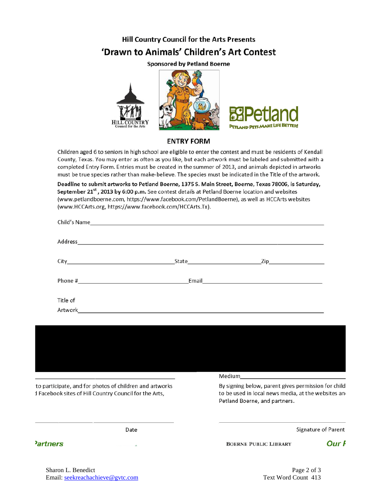# **Hill Country Council for the Arts Presents** 'Drawn to Animals' Children's Art Contest

**Sponsored by Petland Boerne** 



#### **ENTRY FORM**

Children aged 6 to seniors in high school are eligible to enter the contest and must be residents of Kendall County, Texas. You may enter as often as you like, but each artwork must be labeled and submitted with a completed Entry Form. Entries must be created in the summer of 2013, and animals depicted in artworks must be true species rather than make-believe. The species must be indicated in the Title of the artwork.

Deadline to submit artworks to Petland Boerne, 1375 S. Main Street, Boerne, Texas 78006, is Saturday, September 21<sup>st</sup>, 2013 by 6:00 p.m. See contest details at Petland Boerne location and websites (www.petlandboerne.com, https://www.facebook.com/PetlandBoerne), as well as HCCArts websites (www.HCCArts.org, https://www.facebook.com/HCCArts.Tx).

|          | State Zip                                                                                                                                                                                                                          |  |
|----------|------------------------------------------------------------------------------------------------------------------------------------------------------------------------------------------------------------------------------------|--|
| Phone #  | Email <b>Expansion of the Community of the Community</b> of the Community of the Community of the Community of the Community of the Community of the Community of the Community of the Community of the Community of the Community |  |
| Title of |                                                                                                                                                                                                                                    |  |
|          |                                                                                                                                                                                                                                    |  |



to participate, and for photos of children and artworks I Facebook sites of Hill Country Council for the Arts,

By signing below, parent gives permission for child to be used in local news media, at the websites and Petland Boerne, and partners.

Date

### **Partners**

Signature of Parent

**BOERNE PUBLIC LIBRARY** 

Our F

Sharon L. Benedict Email: [seekreachachieve@gvtc.com](mailto:seekreachachieve@gvtc.com) Text Word Count 413

2 of 3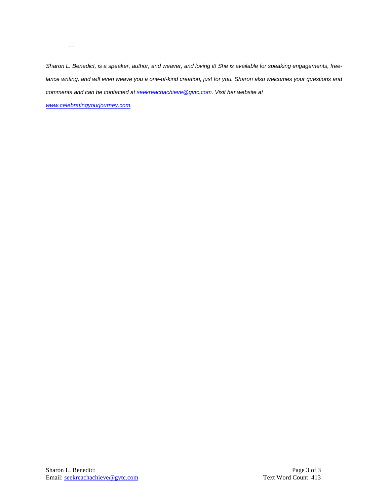*Sharon L. Benedict, is a speaker, author, and weaver, and loving it! She is available for speaking engagements, freelance writing, and will even weave you a one-of-kind creation, just for you. Sharon also welcomes your questions and comments and can be contacted a[t seekreachachieve@gvtc.com.](mailto:seekreachachieve@gvtc.com) Visit her website at* 

*[www.celebratingyourjourney.com.](http://www.celebratingyourjourney.com/)*

--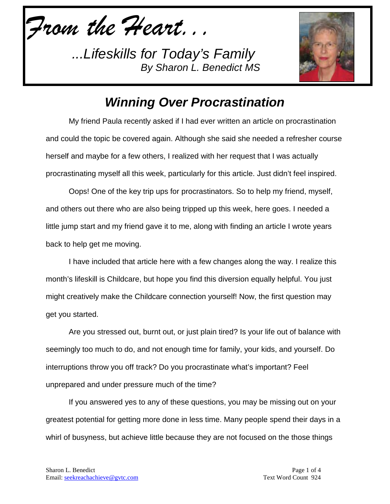*From the Heart...*



# *Winning Over Procrastination*

My friend Paula recently asked if I had ever written an article on procrastination and could the topic be covered again. Although she said she needed a refresher course herself and maybe for a few others, I realized with her request that I was actually procrastinating myself all this week, particularly for this article. Just didn't feel inspired.

Oops! One of the key trip ups for procrastinators. So to help my friend, myself, and others out there who are also being tripped up this week, here goes. I needed a little jump start and my friend gave it to me, along with finding an article I wrote years back to help get me moving.

I have included that article here with a few changes along the way. I realize this month's lifeskill is Childcare, but hope you find this diversion equally helpful. You just might creatively make the Childcare connection yourself! Now, the first question may get you started.

Are you stressed out, burnt out, or just plain tired? Is your life out of balance with seemingly too much to do, and not enough time for family, your kids, and yourself. Do interruptions throw you off track? Do you procrastinate what's important? Feel unprepared and under pressure much of the time?

If you answered yes to any of these questions, you may be missing out on your greatest potential for getting more done in less time. Many people spend their days in a whirl of busyness, but achieve little because they are not focused on the those things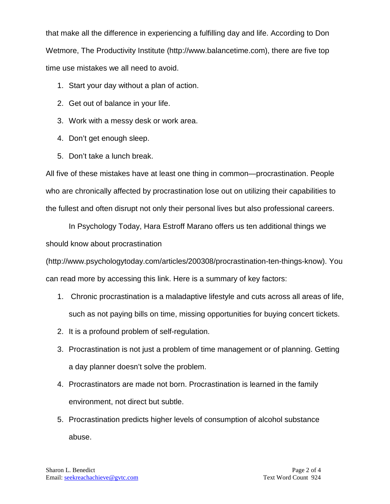that make all the difference in experiencing a fulfilling day and life. According to Don Wetmore, The Productivity Institute [\(http://www.balancetime.com\)](http://www.balancetime.com/), there are five top time use mistakes we all need to avoid.

- 1. Start your day without a plan of action.
- 2. Get out of balance in your life.
- 3. Work with a messy desk or work area.
- 4. Don't get enough sleep.
- 5. Don't take a lunch break.

All five of these mistakes have at least one thing in common—procrastination. People who are chronically affected by procrastination lose out on utilizing their capabilities to the fullest and often disrupt not only their personal lives but also professional careers.

In Psychology Today, Hara Estroff Marano offers us ten additional things we should know about procrastination

[\(http://www.psychologytoday.com/articles/200308/procrastination-ten-things-know\)](http://www.psychologytoday.com/articles/200308/procrastination-ten-things-know). You can read more by accessing this link. Here is a summary of key factors:

- 1. Chronic procrastination is a maladaptive lifestyle and cuts across all areas of life, such as not paying bills on time, missing opportunities for buying concert tickets.
- 2. It is a profound problem of self-regulation.
- 3. Procrastination is not just a problem of time management or of planning. Getting a day planner doesn't solve the problem.
- 4. Procrastinators are made not born. Procrastination is learned in the family environment, not direct but subtle.
- 5. Procrastination predicts higher levels of consumption of alcohol substance abuse.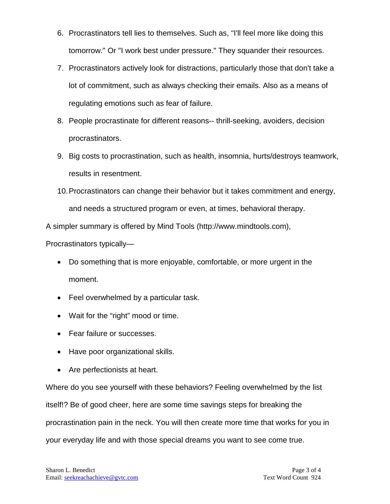- 6. Procrastinators tell lies to themselves. Such as, "I'll feel more like doing this tomorrow." Or "I work best under pressure." They squander their resources.
- 7. Procrastinators actively look for distractions, particularly those that don't take a lot of commitment, such as always checking their emails. Also as a means of regulating emotions such as fear of failure.
- 8. People procrastinate for different reasons-- thrill-seeking, avoiders, decision procrastinators.
- 9. Big costs to procrastination, such as health, insomnia, hurts/destroys teamwork, results in resentment.
- 10.Procrastinators can change their behavior but it takes commitment and energy, and needs a structured program or even, at times, behavioral therapy.

A simpler summary is offered by Mind Tools [\(http://www.mindtools.com\)](http://www.mindtools.com/),

Procrastinators typically—

- Do something that is more enjoyable, comfortable, or more urgent in the moment.
- Feel overwhelmed by a particular task.
- Wait for the "right" mood or time.
- Fear failure or successes.
- Have poor organizational skills.
- Are perfectionists at heart.

Where do you see yourself with these behaviors? Feeling overwhelmed by the list itself!? Be of good cheer, here are some time savings steps for breaking the procrastination pain in the neck. You will then create more time that works for you in your everyday life and with those special dreams you want to see come true.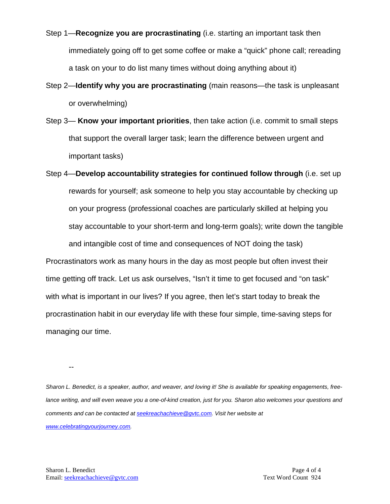- Step 1—**Recognize you are procrastinating** (i.e. starting an important task then immediately going off to get some coffee or make a "quick" phone call; rereading a task on your to do list many times without doing anything about it)
- Step 2—**Identify why you are procrastinating** (main reasons—the task is unpleasant or overwhelming)
- Step 3— **Know your important priorities**, then take action (i.e. commit to small steps that support the overall larger task; learn the difference between urgent and important tasks)
- Step 4—**Develop accountability strategies for continued follow through** (i.e. set up rewards for yourself; ask someone to help you stay accountable by checking up on your progress (professional coaches are particularly skilled at helping you stay accountable to your short-term and long-term goals); write down the tangible and intangible cost of time and consequences of NOT doing the task) Procrastinators work as many hours in the day as most people but often invest their time getting off track. Let us ask ourselves, "Isn't it time to get focused and "on task"

with what is important in our lives? If you agree, then let's start today to break the procrastination habit in our everyday life with these four simple, time-saving steps for managing our time.

--

*Sharon L. Benedict, is a speaker, author, and weaver, and loving it! She is available for speaking engagements, freelance writing, and will even weave you a one-of-kind creation, just for you. Sharon also welcomes your questions and comments and can be contacted a[t seekreachachieve@gvtc.com.](mailto:seekreachachieve@gvtc.com) Visit her website at [www.celebratingyourjourney.com.](http://www.celebratingyourjourney.com/)*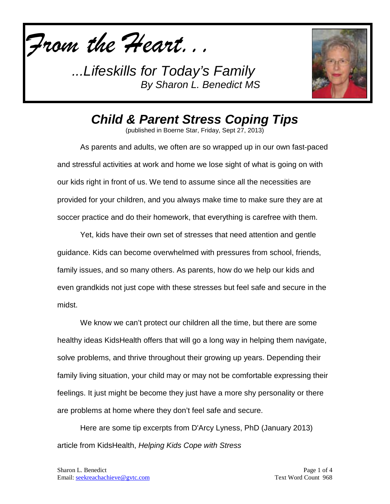



*Child & Parent Stress Coping Tips*

(published in Boerne Star, Friday, Sept 27, 2013)

As parents and adults, we often are so wrapped up in our own fast-paced and stressful activities at work and home we lose sight of what is going on with our kids right in front of us. We tend to assume since all the necessities are provided for your children, and you always make time to make sure they are at soccer practice and do their homework, that everything is carefree with them.

Yet, kids have their own set of stresses that need attention and gentle guidance. Kids can become overwhelmed with pressures from school, friends, family issues, and so many others. As parents, how do we help our kids and even grandkids not just cope with these stresses but feel safe and secure in the midst.

We know we can't protect our children all the time, but there are some healthy ideas KidsHealth offers that will go a long way in helping them navigate, solve problems, and thrive throughout their growing up years. Depending their family living situation, your child may or may not be comfortable expressing their feelings. It just might be become they just have a more shy personality or there are problems at home where they don't feel safe and secure.

Here are some tip excerpts from D'Arcy Lyness, PhD (January 2013) article from KidsHealth, *Helping Kids Cope with Stress*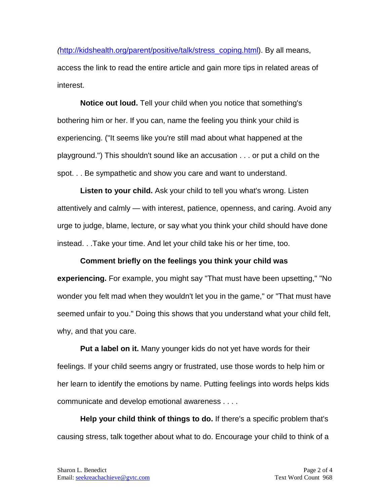*(*[http://kidshealth.org/parent/positive/talk/stress\\_coping.html\)](http://kidshealth.org/parent/positive/talk/stress_coping.html). By all means, access the link to read the entire article and gain more tips in related areas of interest.

**Notice out loud.** Tell your child when you notice that something's bothering him or her. If you can, name the feeling you think your child is experiencing. ("It seems like you're still mad about what happened at the playground.") This shouldn't sound like an accusation . . . or put a child on the spot. . . Be sympathetic and show you care and want to understand.

**Listen to your child.** Ask your child to tell you what's wrong. Listen attentively and calmly — with interest, patience, openness, and caring. Avoid any urge to judge, blame, lecture, or say what you think your child should have done instead. . .Take your time. And let your child take his or her time, too.

### **Comment briefly on the feelings you think your child was**

**experiencing.** For example, you might say "That must have been upsetting," "No wonder you felt mad when they wouldn't let you in the game," or "That must have seemed unfair to you." Doing this shows that you understand what your child felt, why, and that you care.

**Put a label on it.** Many younger kids do not yet have words for their feelings. If your child seems angry or frustrated, use those words to help him or her learn to identify the emotions by name. Putting feelings into words helps kids communicate and develop emotional awareness . . . .

**Help your child think of things to do.** If there's a specific problem that's causing stress, talk together about what to do. Encourage your child to think of a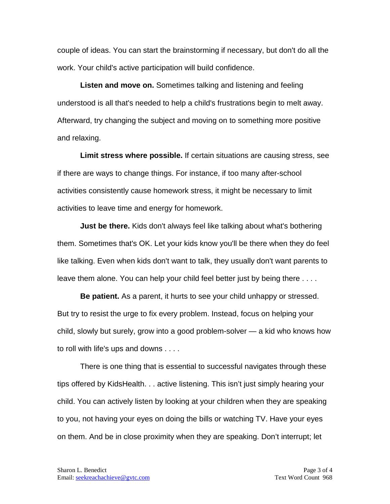couple of ideas. You can start the brainstorming if necessary, but don't do all the work. Your child's active participation will build confidence.

**Listen and move on.** Sometimes talking and listening and feeling understood is all that's needed to help a child's frustrations begin to melt away. Afterward, try changing the subject and moving on to something more positive and relaxing.

**Limit stress where possible.** If certain situations are causing stress, see if there are ways to change things. For instance, if too many after-school activities consistently cause homework stress, it might be necessary to limit activities to leave time and energy for homework.

**Just be there.** Kids don't always feel like talking about what's bothering them. Sometimes that's OK. Let your kids know you'll be there when they do feel like talking. Even when kids don't want to talk, they usually don't want parents to leave them alone. You can help your child feel better just by being there . . . .

**Be patient.** As a parent, it hurts to see your child unhappy or stressed. But try to resist the urge to fix every problem. Instead, focus on helping your child, slowly but surely, grow into a good problem-solver — a kid who knows how to roll with life's ups and downs . . . .

There is one thing that is essential to successful navigates through these tips offered by KidsHealth. . . active listening. This isn't just simply hearing your child. You can actively listen by looking at your children when they are speaking to you, not having your eyes on doing the bills or watching TV. Have your eyes on them. And be in close proximity when they are speaking. Don't interrupt; let